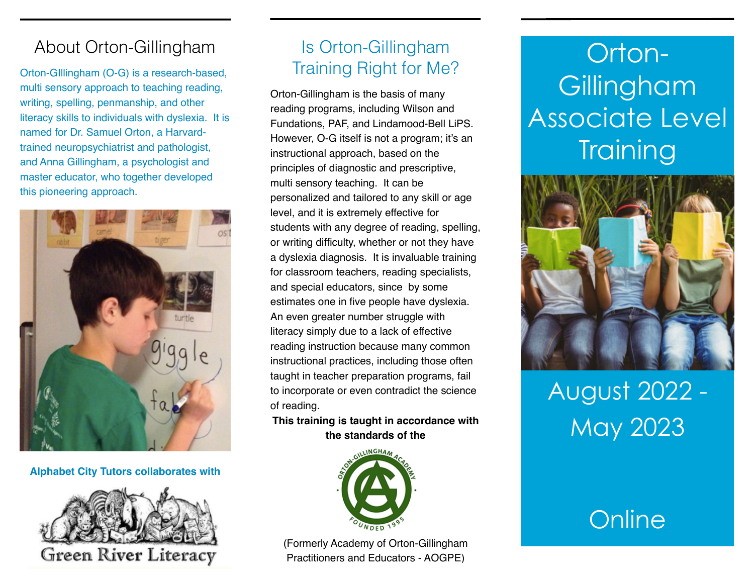### About Orton-Gillingham

Orton-GIllingham (O-G) is a research-based, multi sensory approach to teaching reading, writing, spelling, penmanship, and other literacy skills to individuals with dyslexia. It is named for Dr. Samuel Orton, a Harvardtrained neuropsychiatrist and pathologist, and Anna Gillingham, a psychologist and master educator, who together developed this pioneering approach.



### **Alphabet City Tutors collaborates with**



### Is Orton-Gillingham Training Right for Me?

Orton-Gillingham is the basis of many reading programs, including Wilson and Fundations, PAF, and Lindamood-Bell LiPS. However, O-G itself is not a program; it's an instructional approach, based on the principles of diagnostic and prescriptive, multi sensory teaching. It can be personalized and tailored to any skill or age level, and it is extremely effective for students with any degree of reading, spelling, or writing difficulty, whether or not they have a dyslexia diagnosis. It is invaluable training for classroom teachers, reading specialists, and special educators, since by some estimates one in five people have dyslexia. An even greater number struggle with literacy simply due to a lack of effective reading instruction because many common instructional practices, including those often taught in teacher preparation programs, fail to incorporate or even contradict the science of reading.

**This training is taught in accordance with the standards of the**



(Formerly Academy of Orton-Gillingham Practitioners and Educators - AOGPE)

## Orton-**Gillingham** Associate Level **Training**



# August 2022 - May 2023

## **Online**